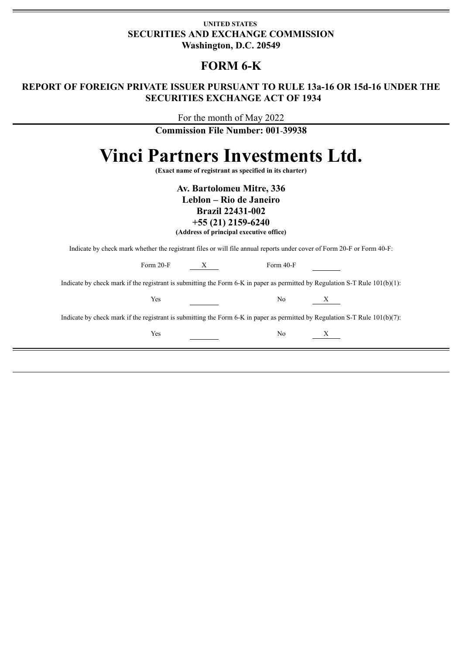## **UNITED STATES SECURITIES AND EXCHANGE COMMISSION Washington, D.C. 20549**

# **FORM 6-K**

# **REPORT OF FOREIGN PRIVATE ISSUER PURSUANT TO RULE 13a-16 OR 15d-16 UNDER THE SECURITIES EXCHANGE ACT OF 1934**

For the month of May 2022

**Commission File Number: 001**-**39938**

# **Vinci Partners Investments Ltd.**

**(Exact name of registrant as specified in its charter)**

**Av. Bartolomeu Mitre, 336**

**Leblon – Rio de Janeiro**

**Brazil 22431-002**

**+55 (21) 2159-6240**

**(Address of principal executive office)**

Indicate by check mark whether the registrant files or will file annual reports under cover of Form 20-F or Form 40-F:

| Form $20-F$                                                                                                                    | Form 40-F<br>X |   |
|--------------------------------------------------------------------------------------------------------------------------------|----------------|---|
| Indicate by check mark if the registrant is submitting the Form 6-K in paper as permitted by Regulation S-T Rule $101(b)(1)$ : |                |   |
| Yes                                                                                                                            | N <sub>0</sub> | X |
| Indicate by check mark if the registrant is submitting the Form 6-K in paper as permitted by Regulation S-T Rule $101(b)(7)$ : |                |   |
| Yes                                                                                                                            | N <sub>0</sub> | X |
|                                                                                                                                |                |   |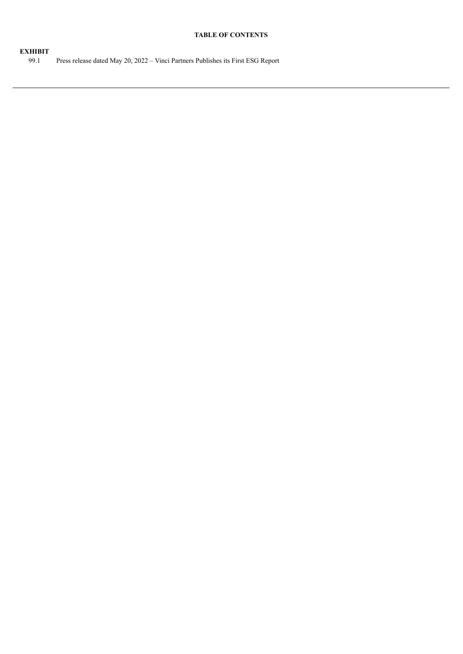#### **TABLE OF CONTENTS**

### **EXHIBIT**

99.1 Press release dated May 20, 2022 – Vinci Partners Publishes its First ESG Report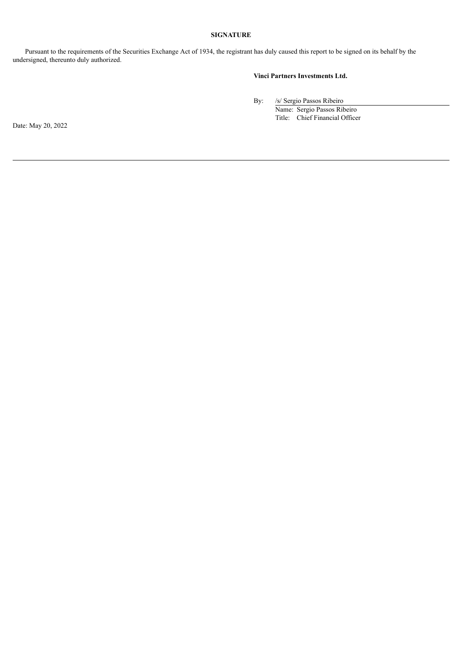#### **SIGNATURE**

Pursuant to the requirements of the Securities Exchange Act of 1934, the registrant has duly caused this report to be signed on its behalf by the undersigned, thereunto duly authorized.

#### **Vinci Partners Investments Ltd.**

By: /s/ Sergio Passos Ribeiro

Name: Sergio Passos Ribeiro Title: Chief Financial Officer

Date: May 20, 2022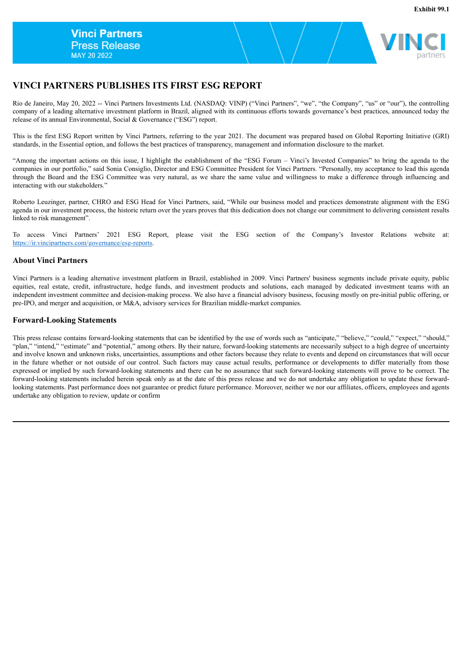

# **VINCI PARTNERS PUBLISHES ITS FIRST ESG REPORT**

Rio de Janeiro, May 20, 2022 -- Vinci Partners Investments Ltd. (NASDAQ: VINP) ("Vinci Partners", "we", "the Company", "us" or "our"), the controlling company of a leading alternative investment platform in Brazil, aligned with its continuous efforts towards governance's best practices, announced today the release of its annual Environmental, Social & Governance ("ESG") report.

This is the first ESG Report written by Vinci Partners, referring to the year 2021. The document was prepared based on Global Reporting Initiative (GRI) standards, in the Essential option, and follows the best practices of transparency, management and information disclosure to the market.

"Among the important actions on this issue, I highlight the establishment of the "ESG Forum – Vinci's Invested Companies" to bring the agenda to the companies in our portfolio," said Sonia Consiglio, Director and ESG Committee President for Vinci Partners. "Personally, my acceptance to lead this agenda through the Board and the ESG Committee was very natural, as we share the same value and willingness to make a difference through influencing and interacting with our stakeholders."

Roberto Leuzinger, partner, CHRO and ESG Head for Vinci Partners, said, "While our business model and practices demonstrate alignment with the ESG agenda in our investment process, the historic return over the years proves that this dedication does not change our commitment to delivering consistent results linked to risk management".

To access Vinci Partners' 2021 ESG Report, please visit the ESG section of the Company's Investor Relations website at: https://ir.vincipartners.com/governance/esg-reports.

#### **About Vinci Partners**

Vinci Partners is a leading alternative investment platform in Brazil, established in 2009. Vinci Partners' business segments include private equity, public equities, real estate, credit, infrastructure, hedge funds, and investment products and solutions, each managed by dedicated investment teams with an independent investment committee and decision-making process. We also have a financial advisory business, focusing mostly on pre-initial public offering, or pre-IPO, and merger and acquisition, or M&A, advisory services for Brazilian middle-market companies.

#### **Forward-Looking Statements**

This press release contains forward-looking statements that can be identified by the use of words such as "anticipate," "believe," "could," "expect," "should," "plan," "intend," "estimate" and "potential," among others. By their nature, forward-looking statements are necessarily subject to a high degree of uncertainty and involve known and unknown risks, uncertainties, assumptions and other factors because they relate to events and depend on circumstances that will occur in the future whether or not outside of our control. Such factors may cause actual results, performance or developments to differ materially from those expressed or implied by such forward-looking statements and there can be no assurance that such forward-looking statements will prove to be correct. The forward-looking statements included herein speak only as at the date of this press release and we do not undertake any obligation to update these forwardlooking statements. Past performance does not guarantee or predict future performance. Moreover, neither we nor our affiliates, officers, employees and agents undertake any obligation to review, update or confirm